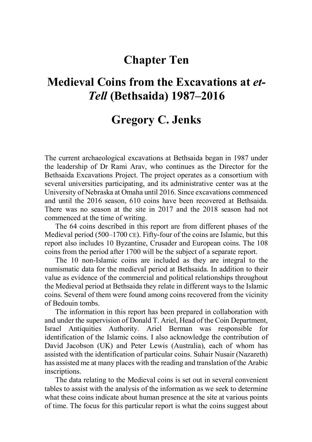## **Chapter Ten**

# **Medieval Coins from the Excavations at** *et-Tell* **(Bethsaida) 1987–2016**

## **Gregory C. Jenks**

The current archaeological excavations at Bethsaida began in 1987 under the leadership of Dr Rami Arav, who continues as the Director for the Bethsaida Excavations Project. The project operates as a consortium with several universities participating, and its administrative center was at the University of Nebraska at Omaha until 2016. Since excavations commenced and until the 2016 season, 610 coins have been recovered at Bethsaida. There was no season at the site in 2017 and the 2018 season had not commenced at the time of writing.

The 64 coins described in this report are from different phases of the Medieval period (500–1700 CE). Fifty-four of the coins are Islamic, but this report also includes 10 Byzantine, Crusader and European coins. The 108 coins from the period after 1700 will be the subject of a separate report.

The 10 non-Islamic coins are included as they are integral to the numismatic data for the medieval period at Bethsaida. In addition to their value as evidence of the commercial and political relationships throughout the Medieval period at Bethsaida they relate in different ways to the Islamic coins. Several of them were found among coins recovered from the vicinity of Bedouin tombs.

The information in this report has been prepared in collaboration with and under the supervision of Donald T. Ariel, Head of the Coin Department, Israel Antiquities Authority. Ariel Berman was responsible for identification of the Islamic coins. I also acknowledge the contribution of David Jacobson (UK) and Peter Lewis (Australia), each of whom has assisted with the identification of particular coins. Suhair Nusair (Nazareth) has assisted me at many places with the reading and translation of the Arabic inscriptions.

The data relating to the Medieval coins is set out in several convenient tables to assist with the analysis of the information as we seek to determine what these coins indicate about human presence at the site at various points of time. The focus for this particular report is what the coins suggest about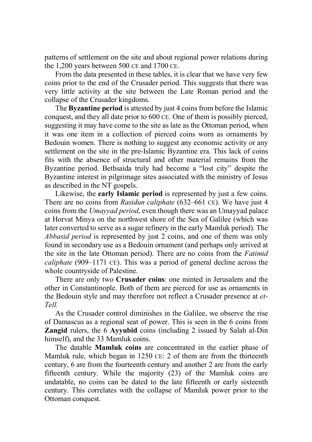patterns of settlement on the site and about regional power relations during the 1,200 years between 500 CE and 1700 CE.

From the data presented in these tables, it is clear that we have very few coins prior to the end of the Crusader period. This suggests that there was very little activity at the site between the Late Roman period and the collapse of the Crusader kingdoms.

The **Byzantine period** is attested by just 4 coins from before the Islamic conquest, and they all date prior to 600 CE. One of them is possibly pierced, suggesting it may have come to the site as late as the Ottoman period, when it was one item in a collection of pierced coins worn as ornaments by Bedouin women. There is nothing to suggest any economic activity or any settlement on the site in the pre-Islamic Byzantine era. This lack of coins fits with the absence of structural and other material remains from the Byzantine period. Bethsaida truly had become a "lost city" despite the Byzantine interest in pilgrimage sites associated with the ministry of Jesus as described in the NT gospels.

Likewise, the **early Islamic period** is represented by just a few coins. There are no coins from *Rasidun caliphate* (632–661 CE). We have just 4 coins from the *Umayyad period*, even though there was an Umayyad palace at Horvat Minya on the northwest shore of the Sea of Galilee (which was later converted to serve as a sugar refinery in the early Mamluk period). The *Abbasid period* is represented by just 2 coins, and one of them was only found in secondary use as a Bedouin ornament (and perhaps only arrived at the site in the late Ottoman period). There are no coins from the *Fatimid caliphate* (909–1171 CE). This was a period of general decline across the whole countryside of Palestine.

There are only two **Crusader coins**: one minted in Jerusalem and the other in Constantinople. Both of them are pierced for use as ornaments in the Bedouin style and may therefore not reflect a Crusader presence at *et-Tell.*

As the Crusader control diminishes in the Galilee, we observe the rise of Damascus as a regional seat of power. This is seen in the 6 coins from **Zangid** rulers, the 6 **Ayyubid** coins (including 2 issued by Salah al-Din himself), and the 33 Mamluk coins.

The datable **Mamluk coins** are concentrated in the earlier phase of Mamluk rule, which began in 1250 CE: 2 of them are from the thirteenth century, 6 are from the fourteenth century and another 2 are from the early fifteenth century. While the majority (23) of the Mamluk coins are undatable, no coins can be dated to the late fifteenth or early sixteenth century. This correlates with the collapse of Mamluk power prior to the Ottoman conquest.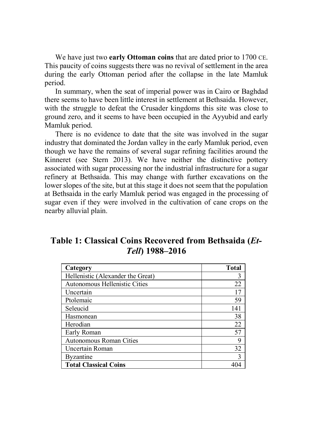We have just two **early Ottoman coins** that are dated prior to 1700 CE. This paucity of coins suggests there was no revival of settlement in the area during the early Ottoman period after the collapse in the late Mamluk period.

In summary, when the seat of imperial power was in Cairo or Baghdad there seems to have been little interest in settlement at Bethsaida. However, with the struggle to defeat the Crusader kingdoms this site was close to ground zero, and it seems to have been occupied in the Ayyubid and early Mamluk period.

There is no evidence to date that the site was involved in the sugar industry that dominated the Jordan valley in the early Mamluk period, even though we have the remains of several sugar refining facilities around the Kinneret (see Stern 2013). We have neither the distinctive pottery associated with sugar processing nor the industrial infrastructure for a sugar refinery at Bethsaida. This may change with further excavations on the lower slopes of the site, but at this stage it does not seem that the population at Bethsaida in the early Mamluk period was engaged in the processing of sugar even if they were involved in the cultivation of cane crops on the nearby alluvial plain.

**Table 1: Classical Coins Recovered from Bethsaida (***Et-Tell***) 1988–2016**

| Category                          | <b>Total</b> |
|-----------------------------------|--------------|
| Hellenistic (Alexander the Great) | 3            |
| Autonomous Hellenistic Cities     | 22           |
| Uncertain                         | 17           |
| Ptolemaic                         | 59           |
| Seleucid                          | 141          |
| Hasmonean                         | 38           |
| Herodian                          | 22           |
| Early Roman                       | 57           |
| Autonomous Roman Cities           | 9            |
| Uncertain Roman                   | 32           |
| <b>Byzantine</b>                  | 3            |
| <b>Total Classical Coins</b>      |              |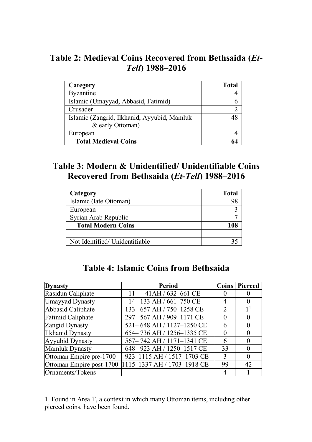### **Table 2: Medieval Coins Recovered from Bethsaida (***Et-Tell***) 1988–2016**

|                                             | <b>Total</b> |
|---------------------------------------------|--------------|
| Category                                    |              |
| <b>Byzantine</b>                            |              |
| Islamic (Umayyad, Abbasid, Fatimid)         |              |
| Crusader                                    |              |
| Islamic (Zangrid, Ilkhanid, Ayyubid, Mamluk |              |
| & early Ottoman)                            |              |
| European                                    |              |
| <b>Total Medieval Coins</b>                 |              |

### **Table 3: Modern & Unidentified/ Unidentifiable Coins Recovered from Bethsaida (***Et-Tell***) 1988–2016**

| Category                       | <b>Total</b> |
|--------------------------------|--------------|
| Islamic (late Ottoman)         |              |
| European                       |              |
| Syrian Arab Republic           |              |
| <b>Total Modern Coins</b>      |              |
|                                |              |
| Not Identified/ Unidentifiable |              |

| <b>Dynasty</b>           | Period                      | <b>Coins</b> | Pierced        |
|--------------------------|-----------------------------|--------------|----------------|
| Rasidun Caliphate        | $11 - 41$ AH / 632–661 CE   | $\theta$     | O              |
| Umayyad Dynasty          | 14-133 AH / 661-750 CE      | 4            | $\theta$       |
| Abbasid Caliphate        | 133-657 AH / 750-1258 CE    | 2            | 1 <sup>1</sup> |
| <b>Fatimid Caliphate</b> | 297-567 AH / 909-1171 CE    | $\Omega$     | $\Omega$       |
| Zangid Dynasty           | 521-648 AH / 1127-1250 CE   | 6            | $\Omega$       |
| <b>Ilkhanid Dynasty</b>  | 654-736 AH / 1256-1335 CE   | $\Omega$     | $\Omega$       |
| Ayyubid Dynasty          | 567-742 AH / 1171-1341 CE   | 6            | $\Omega$       |
| Mamluk Dynasty           | 648-923 AH / 1250-1517 CE   | 33           | $\Omega$       |
| Ottoman Empire pre-1700  | 923-1115 AH / 1517-1703 CE  | 3            | $\Omega$       |
| Ottoman Empire post-1700 | 1115-1337 AH / 1703-1918 CE | 99           | 42             |
| Ornaments/Tokens         |                             |              |                |

### **Table 4: Islamic Coins from Bethsaida**

<sup>1</sup> Found in Area T, a context in which many Ottoman items, including other pierced coins, have been found.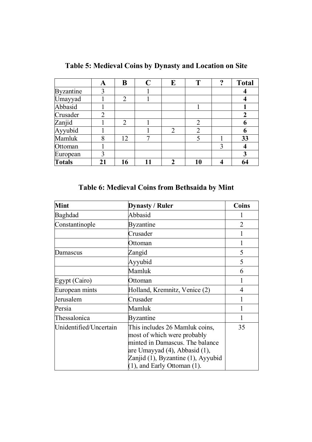|                  | A  | В              | C  | E                                                                                                                                                                                                                                                                                                                                                                                                      | т              | റ | <b>Total</b> |
|------------------|----|----------------|----|--------------------------------------------------------------------------------------------------------------------------------------------------------------------------------------------------------------------------------------------------------------------------------------------------------------------------------------------------------------------------------------------------------|----------------|---|--------------|
| <b>Byzantine</b> | 3  |                |    |                                                                                                                                                                                                                                                                                                                                                                                                        |                |   |              |
| Umayyad          |    | 2              |    |                                                                                                                                                                                                                                                                                                                                                                                                        |                |   |              |
| Abbasid          |    |                |    |                                                                                                                                                                                                                                                                                                                                                                                                        |                |   |              |
| Crusader         |    |                |    |                                                                                                                                                                                                                                                                                                                                                                                                        |                |   | 2            |
| Zanjid           |    | $\mathfrak{D}$ |    |                                                                                                                                                                                                                                                                                                                                                                                                        | ∍              |   | 6            |
| Ayyubid          |    |                |    | $\mathfrak{D}_{1}^{(1)}=\mathfrak{D}_{2}^{(2)}=\mathfrak{D}_{2}^{(1)}=\mathfrak{D}_{2}^{(1)}=\mathfrak{D}_{2}^{(1)}=\mathfrak{D}_{2}^{(1)}=\mathfrak{D}_{2}^{(1)}=\mathfrak{D}_{2}^{(1)}=\mathfrak{D}_{2}^{(1)}=\mathfrak{D}_{2}^{(1)}=\mathfrak{D}_{2}^{(1)}=\mathfrak{D}_{2}^{(1)}=\mathfrak{D}_{2}^{(1)}=\mathfrak{D}_{2}^{(1)}=\mathfrak{D}_{2}^{(1)}=\mathfrak{D}_{2}^{(1)}=\mathfrak{D}_{2}^{(1$ | $\overline{c}$ |   | 6            |
| Mamluk           | o  | 12             | ¬  |                                                                                                                                                                                                                                                                                                                                                                                                        |                |   | 33           |
| Ottoman          |    |                |    |                                                                                                                                                                                                                                                                                                                                                                                                        |                | 3 |              |
| European         |    |                |    |                                                                                                                                                                                                                                                                                                                                                                                                        |                |   | 3            |
| <b>Totals</b>    | 21 | 16             | 11 | ∍                                                                                                                                                                                                                                                                                                                                                                                                      | 10             |   | 64           |

**Table 5: Medieval Coins by Dynasty and Location on Site**

#### **Table 6: Medieval Coins from Bethsaida by Mint**

| <b>Mint</b>            | <b>Dynasty / Ruler</b>                                                                                                                                                                                       | Coins          |
|------------------------|--------------------------------------------------------------------------------------------------------------------------------------------------------------------------------------------------------------|----------------|
| Baghdad                | Abbasid                                                                                                                                                                                                      |                |
| Constantinople         | Byzantine                                                                                                                                                                                                    | $\mathfrak{D}$ |
|                        | Crusader                                                                                                                                                                                                     |                |
|                        | Ottoman                                                                                                                                                                                                      |                |
| Damascus               | Zangid                                                                                                                                                                                                       | 5              |
|                        | Ayyubid                                                                                                                                                                                                      | 5              |
|                        | Mamluk                                                                                                                                                                                                       | 6              |
| Egypt (Cairo)          | Ottoman                                                                                                                                                                                                      |                |
| European mints         | Holland, Kremnitz, Venice (2)                                                                                                                                                                                | 4              |
| Jerusalem              | Crusader                                                                                                                                                                                                     |                |
| Persia                 | Mamluk                                                                                                                                                                                                       |                |
| Thessalonica           | Byzantine                                                                                                                                                                                                    |                |
| Unidentified/Uncertain | This includes 26 Mamluk coins,<br>most of which were probably<br>minted in Damascus. The balance<br>are Umayyad (4), Abbasid (1),<br>Zanjid (1), Byzantine (1), Ayyubid<br>$(1)$ , and Early Ottoman $(1)$ . | 35             |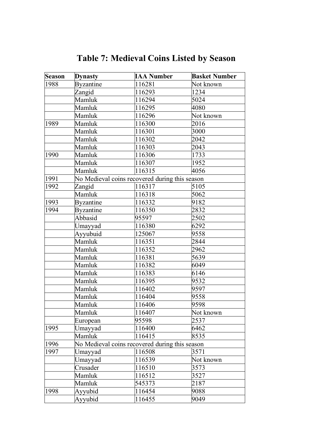| <b>Season</b> | <b>Dynasty</b>   | <b>IAA Number</b>                              | <b>Basket Number</b> |
|---------------|------------------|------------------------------------------------|----------------------|
| 1988          | <b>Byzantine</b> | 116281                                         | Not known            |
|               | Zangid           | 116293                                         | 1234                 |
|               | Mamluk           | 116294                                         | $\overline{5024}$    |
|               | Mamluk           | 116295                                         | 4080                 |
|               | Mamluk           | 116296                                         | Not known            |
| 1989          | Mamluk           | 116300                                         | 2016                 |
|               | Mamluk           | 116301                                         | $\frac{1}{3000}$     |
|               | Mamluk           | 116302                                         | 2042                 |
|               | Mamluk           | 116303                                         | 2043                 |
| 1990          | Mamluk           | 116306                                         | 1733                 |
|               | Mamluk           | 116307                                         | 1952                 |
|               | Mamluk           | 116315                                         | 4056                 |
| 1991          |                  | No Medieval coins recovered during this season |                      |
| 1992          | Zangid           | 116317                                         | 5105                 |
|               | Mamluk           | 116318                                         | $\frac{1}{5062}$     |
| 1993          | <b>Byzantine</b> | 116332                                         | 9182                 |
| 1994          | <b>Byzantine</b> | 116350                                         | 2832                 |
|               | Abbasid          | 95597                                          | $250\overline{2}$    |
|               | Umayyad          | 116380                                         | 6292                 |
|               | Ayyubuid         | 125067                                         | 9558                 |
|               | Mamluk           | 116351                                         | 2844                 |
|               | Mamluk           | 116352                                         | 2962                 |
|               | Mamluk           | 116381                                         | 5639                 |
|               | Mamluk           | 116382                                         | 6049                 |
|               | Mamluk           | 116383                                         | 6146                 |
|               | Mamluk           | 116395                                         | 9532                 |
|               | Mamluk           | 116402                                         | 9597                 |
|               | Mamluk           | 116404                                         | 9558                 |
|               | Mamluk           | 116406                                         | 9598                 |
|               | Mamluk           | 116407                                         | Not known            |
|               | European         | 95598                                          | 2537                 |
| 1995          | Umayyad          | 116400                                         | 6462                 |
|               | Mamluk           | 116415                                         | 8535                 |
| 1996          |                  | No Medieval coins recovered during this season |                      |
| 1997          | Umayyad          | 116508                                         | 3571                 |
|               | Umayyad          | 116539                                         | Not known            |
|               | Crusader         | 116510                                         | 3573                 |
|               | Mamluk           | 116512                                         | 3527                 |
|               | Mamluk           | 545373                                         | 2187                 |
| 1998          | Ayyubid          | 116454                                         | 9088                 |
|               | Ayyubid          | 116455                                         | 9049                 |

**Table 7: Medieval Coins Listed by Season**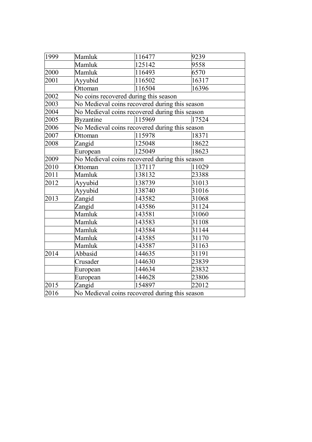| 1999 | Mamluk                                         | 116477                                         | 9239  |  |  |  |  |  |
|------|------------------------------------------------|------------------------------------------------|-------|--|--|--|--|--|
|      | Mamluk                                         | 125142                                         | 9558  |  |  |  |  |  |
| 2000 | Mamluk                                         | 116493                                         | 6570  |  |  |  |  |  |
| 2001 | Ayyubid                                        | 116502                                         | 16317 |  |  |  |  |  |
|      | Ottoman                                        | 116504                                         | 16396 |  |  |  |  |  |
| 2002 |                                                | No coins recovered during this season          |       |  |  |  |  |  |
| 2003 |                                                | No Medieval coins recovered during this season |       |  |  |  |  |  |
| 2004 |                                                | No Medieval coins recovered during this season |       |  |  |  |  |  |
| 2005 | Byzantine                                      | 115969                                         | 17524 |  |  |  |  |  |
| 2006 |                                                | No Medieval coins recovered during this season |       |  |  |  |  |  |
| 2007 | Ottoman                                        | 115978                                         | 18371 |  |  |  |  |  |
| 2008 | Zangid                                         | 125048                                         | 18622 |  |  |  |  |  |
|      | European                                       | 125049                                         | 18623 |  |  |  |  |  |
| 2009 |                                                | No Medieval coins recovered during this season |       |  |  |  |  |  |
| 2010 | Ottoman                                        | 137117                                         | 11029 |  |  |  |  |  |
| 2011 | Mamluk                                         | 138132                                         | 23388 |  |  |  |  |  |
| 2012 | Avvubid                                        | 138739                                         | 31013 |  |  |  |  |  |
|      | Ayyubid                                        | 138740                                         | 31016 |  |  |  |  |  |
| 2013 | Zangid                                         | 143582                                         | 31068 |  |  |  |  |  |
|      | Zangid                                         | 143586                                         | 31124 |  |  |  |  |  |
|      | Mamluk                                         | 143581                                         | 31060 |  |  |  |  |  |
|      | Mamluk                                         | 143583                                         | 31108 |  |  |  |  |  |
|      | Mamluk                                         | 143584                                         | 31144 |  |  |  |  |  |
|      | Mamluk                                         | 143585                                         | 31170 |  |  |  |  |  |
|      | Mamluk                                         | 143587                                         | 31163 |  |  |  |  |  |
| 2014 | Abbasid                                        | 144635                                         | 31191 |  |  |  |  |  |
|      | Crusader                                       | 144630                                         | 23839 |  |  |  |  |  |
|      | European                                       | 144634                                         | 23832 |  |  |  |  |  |
|      | European                                       | 144628                                         | 23806 |  |  |  |  |  |
| 2015 | Zangid                                         | 154897                                         | 22012 |  |  |  |  |  |
| 2016 | No Medieval coins recovered during this season |                                                |       |  |  |  |  |  |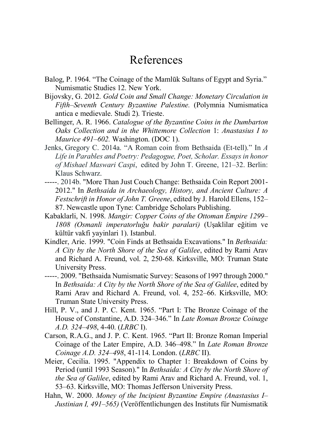# References

- Balog, P. 1964. "The Coinage of the Mamlūk Sultans of Egypt and Syria." Numismatic Studies 12. New York.
- Bijovsky, G. 2012. *Gold Coin and Small Change: Monetary Circulation in Fifth–Seventh Century Byzantine Palestine.* (Polymnia Numismatica antica e medievale. Studi 2). Trieste.
- Bellinger, A. R. 1966. *Catalogue of the Byzantine Coins in the Dumbarton Oaks Collection and in the Whittemore Collection* 1: *Anastasius I to Maurice 491–602.* Washington. (DOC 1).
- Jenks, Gregory C. 2014a. "A Roman coin from Bethsaida (Et-tell)." In *A Life in Parables and Poetry: Pedagogue, Poet, Scholar. Essays in honor of Mishael Maswari Caspi*, edited by John T. Greene, 121–32. Berlin: Klaus Schwarz.
- -----. 2014b. "More Than Just Couch Change: Bethsaida Coin Report 2001- 2012." In *Bethsaida in Archaeology, History, and Ancient Culture: A Festschrift in Honor of John T. Greene*, edited by J. Harold Ellens, 152– 87. Newcastle upon Tyne: Cambridge Scholars Publishing.
- Kabaklarli, N. 1998. *Mangir: Copper Coins of the Ottoman Empire 1299– 1808 (Osmanli imperatorluğu bakir paralari)* (Uşaklilar eğitim ve kültür vakfi yayinlari 1). Istanbul.
- Kindler, Arie. 1999. "Coin Finds at Bethsaida Excavations." In *Bethsaida: A City by the North Shore of the Sea of Galilee*, edited by Rami Arav and Richard A. Freund, vol. 2, 250-68. Kirksville, MO: Truman State University Press.
- -----. 2009. "Bethsaida Numismatic Survey: Seasons of 1997 through 2000." In *Bethsaida: A City by the North Shore of the Sea of Galilee*, edited by Rami Arav and Richard A. Freund, vol. 4, 252–66. Kirksville, MO: Truman State University Press.
- Hill, P. V., and J. P. C. Kent. 1965. "Part I: The Bronze Coinage of the House of Constantine, A.D. 324*–*346." In *Late Roman Bronze Coinage A.D. 324–498*, 4-40. (*LRBC* I).
- Carson, R.A.G., and J. P. C. Kent. 1965. "Part II: Bronze Roman Imperial Coinage of the Later Empire, A.D. 346*–*498." In *Late Roman Bronze Coinage A.D. 324–498*, 41-114. London. (*LRBC* II).
- Meier, Cecilia. 1995. "Appendix to Chapter 1: Breakdown of Coins by Period (until 1993 Season)." In *Bethsaida: A City by the North Shore of the Sea of Galilee*, edited by Rami Arav and Richard A. Freund, vol. 1, 53–63. Kirksville, MO: Thomas Jefferson University Press.
- Hahn, W. 2000. *Money of the Incipient Byzantine Empire (Anastasius I– Justinian I, 491–565)* (Veröffentlichungen des Instituts für Numismatik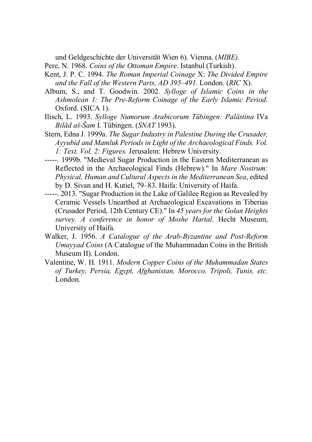und Geldgeschichte der Universität Wien 6). Vienna. (*MIBE).*

- Pere, N. 1968. *Coins of the Ottoman Empire*. Istanbul (Turkish).
- Kent, J. P. C. 1994. *The Roman Imperial Coinage* X: *The Divided Empire and the Fall of the Western Parts, AD 395–491*. London. (*RIC* X).
- Album, S., and T. Goodwin. 2002. *Sylloge of Islamic Coins in the Ashmolean 1: The Pre-Reform Coinage of the Early Islamic Period*. Oxford. (SICA 1).
- Ilisch, L. 1993. *Sylloge Numorum Arabicorum Tübingen: Palästina* IVa *Bilād aš-Šam* I*.* Tübingen. (*SNAT* 1993).
- Stern, Edna J. 1999a. *The Sugar Industry in Palestine During the Crusader, Ayyubid and Mamluk Periods in Light of the Archaeological Finds. Vol. 1: Text. Vol. 2: Figures.* Jerusalem: Hebrew University.
- -----. 1999b. "Medieval Sugar Production in the Eastern Mediterranean as Reflected in the Archaeological Finds (Hebrew)." In *Mare Nostrum: Physical, Human and Cultural Aspects in the Mediterranean Sea*, edited by D. Sivan and H. Kutiel, 79–83. Haifa: University of Haifa.
- -----. 2013. "Sugar Production in the Lake of Galilee Region as Revealed by Ceramic Vessels Unearthed at Archaeological Excavations in Tiberias (Crusader Period, 12th Century CE)." In *45 years for the Golan Heights survey. A conference in honor of Moshe Hartal*. Hecht Museum, University of Haifa.
- Walker, J. 1956. *A Catalogue of the Arab-Byzantine and Post-Reform Umayyad Coins* (A Catalogue of the Muhammadan Coins in the British Museum II). London.
- Valentine, W. H. 1911. *Modern Copper Coins of the Muhammadan States of Turkey, Persia, Egypt, Afghanistan, Morocco, Tripoli, Tunis, etc.*  London.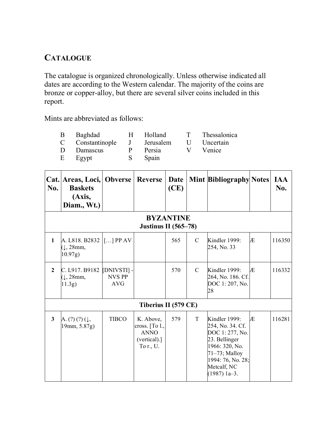#### **CATALOGUE**

The catalogue is organized chronologically. Unless otherwise indicated all dates are according to the Western calendar. The majority of the coins are bronze or copper-alloy, but there are several silver coins included in this report.

Mints are abbreviated as follows:

| B | Baghdad        | H | Holland   |   | Thessalonica |
|---|----------------|---|-----------|---|--------------|
| C | Constantinople | J | Jerusalem | U | Uncertain    |
| D | Damascus       | р | Persia    |   | Venice       |
| E | Egypt          |   | Spain     |   |              |

| No.          | Cat. Areas, Loci, Obverse<br><b>Baskets</b><br>(Axis,<br>Diam., Wt.) |                                     | Reverse                                                                 | Date<br>(CE)     |               | <b>Mint Bibliography Notes</b>                                                                                                                                   |   | <b>IAA</b><br>No. |
|--------------|----------------------------------------------------------------------|-------------------------------------|-------------------------------------------------------------------------|------------------|---------------|------------------------------------------------------------------------------------------------------------------------------------------------------------------|---|-------------------|
|              |                                                                      |                                     | <b>Justinus II</b> (565–78)                                             | <b>BYZANTINE</b> |               |                                                                                                                                                                  |   |                   |
| $\mathbf{1}$ | A. L818. B2832<br>$(1, 28$ mm,<br>10.97g)                            | $\left[ \ldots \right]$ PP AV       |                                                                         | 565              | C             | Kindler 1999:<br>254, No. 33                                                                                                                                     | Æ | 116350            |
| $\mathbf{2}$ | C. L917. B9182<br>$(1, 28$ mm,<br>(11.3g)                            | [DNIVSTI] -<br><b>NVS PP</b><br>AVG |                                                                         | 570              | $\mathcal{C}$ | Kindler 1999:<br>264, No. 186. Cf.<br>DOC 1:207, No.<br>28                                                                                                       | Æ | 116332            |
|              |                                                                      |                                     | Tiberius II (579 CE)                                                    |                  |               |                                                                                                                                                                  |   |                   |
| 3            | A. $(?) (?) (\downarrow, )$<br>19mm, 5.87g)                          | <b>TIBCO</b>                        | K. Above,<br>cross. [To l.,<br><b>ANNO</b><br>(vertical).]<br>To r., U. | 579              | T             | Kindler 1999:<br>254, No. 34. Cf.<br>DOC 1:277, No.<br>23. Bellinger<br>1966: 320, No.<br>$71-73$ ; Malloy<br>1994: 76, No. 28;<br>Metcalf, NC<br>$(1987)$ 1a-3. | Æ | 116281            |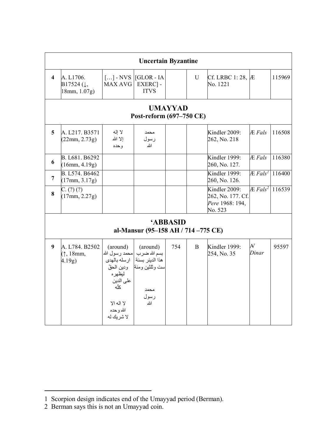| <b>Uncertain Byzantine</b> |                                                      |                                                                                                                                       |                                                                                       |     |   |                                                                  |                        |        |  |  |  |
|----------------------------|------------------------------------------------------|---------------------------------------------------------------------------------------------------------------------------------------|---------------------------------------------------------------------------------------|-----|---|------------------------------------------------------------------|------------------------|--------|--|--|--|
| $\overline{\mathbf{4}}$    | A. L1706.<br>$B17524$ (1,<br>18mm, 1.07g)            | $\left[\ldots\right]$ - NVS<br>MAX AVG                                                                                                | [GLOR - IA<br>EXERC] -<br><b>ITVS</b>                                                 |     | U | Cf. LRBC 1:28, $AE$<br>No. 1221                                  |                        | 115969 |  |  |  |
|                            | <b>UMAYYAD</b><br>Post-reform (697-750 CE)           |                                                                                                                                       |                                                                                       |     |   |                                                                  |                        |        |  |  |  |
| 5                          | A. L217. B3571<br>(22mm, 2.73g)                      | لا إله<br>الا الله<br>وحده                                                                                                            | محمد<br>رسول<br>الله                                                                  |     |   | Kindler 2009:<br>262, No. 218                                    | Æ Fals                 | 116508 |  |  |  |
| 6                          | B. L681. B6292<br>(16mm, 4.19g)                      |                                                                                                                                       |                                                                                       |     |   | Kindler 1999:<br>260, No. 127.                                   | Æ Fals                 | 116380 |  |  |  |
| 7                          | B. L574. B6462<br>(17mm, 3.17g)                      |                                                                                                                                       |                                                                                       |     |   | Kindler 1999:<br>260, No. 126.                                   | $E$ Fals <sup>1</sup>  | 116400 |  |  |  |
| 8                          | C. (?) (?)<br>(17mm, 2.27g)                          |                                                                                                                                       |                                                                                       |     |   | Kindler 2009:<br>262, No. 177. Cf.<br>Pere 1968: 194.<br>No. 523 | $AE$ Fals <sup>2</sup> | 116539 |  |  |  |
|                            | <b>ABBASID</b><br>al-Mansur (95-158 AH / 714-775 CE) |                                                                                                                                       |                                                                                       |     |   |                                                                  |                        |        |  |  |  |
| 9                          | A. L784. B2502<br>$(1, 18$ mm,<br>$4.19g$ )          | (around)<br> محمد رسول الله<br>ار سله بالهدي<br>ودين الحقّ<br>ليظهر ه<br>على الدين<br>كلّه<br>لا اله الا<br>الله و حده<br>لا شر بك له | (around)<br>بسم الله ضرب<br>هذا الدينر بسنة<br>ست وثلثين ومئة<br>محمد<br>رسول<br>الله | 754 | B | Kindler 1999:<br>254, No. 35                                     | N<br>Dinar             | 95597  |  |  |  |

<sup>1</sup> Scorpion design indicates end of the Umayyad period (Berman).

<sup>2</sup> Berman says this is not an Umayyad coin.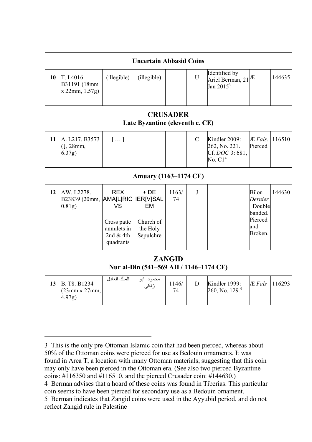| <b>Uncertain Abbasid Coins</b> |                                                             |                                                                            |                                                          |             |               |                                                                    |                                                                           |        |  |  |
|--------------------------------|-------------------------------------------------------------|----------------------------------------------------------------------------|----------------------------------------------------------|-------------|---------------|--------------------------------------------------------------------|---------------------------------------------------------------------------|--------|--|--|
| 10                             | T. L <sub>4016</sub> .<br>B31191 (18mm<br>x 22mm, 1.57g     | (illegible)                                                                | (illegible)                                              |             | $\mathbf{U}$  | Identified by<br>Ariel Berman, $21^{1/2}$<br>Jan $2015^3$          |                                                                           | 144635 |  |  |
|                                | <b>CRUSADER</b><br>Late Byzantine (eleventh c. CE)          |                                                                            |                                                          |             |               |                                                                    |                                                                           |        |  |  |
| 11                             | A. L217. B3573<br>$(1, 28$ mm,<br>6.37g)                    | []                                                                         |                                                          |             | $\mathcal{C}$ | Kindler 2009:<br>262, No. 221.<br>Cf. DOC 3:681.<br>No. $\rm C1^4$ | $E$ Fals<br>Pierced                                                       | 116510 |  |  |
|                                |                                                             |                                                                            | <b>Amuary (1163–1174 CE)</b>                             |             |               |                                                                    |                                                                           |        |  |  |
| 12                             | AW. L2278.<br>B23839 (20mm, AMA[L]RIC   IER[V]SAL<br>0.81g) | <b>REX</b><br>VS<br>Cross patte<br>annulets in<br>2nd $&$ 4th<br>quadrants | $+DE$<br><b>FM</b><br>Church of<br>the Holy<br>Sepulchre | 1163/<br>74 | J             |                                                                    | <b>Bilon</b><br>Dernier<br>Double<br>banded.<br>Pierced<br>and<br>Broken. | 144630 |  |  |
|                                | <b>ZANGID</b><br>Nur al-Din (541–569 AH / 1146–1174 CE)     |                                                                            |                                                          |             |               |                                                                    |                                                                           |        |  |  |
| 13                             | B. T.8 B1234<br>$(23mm \times 27mm)$<br>4.97g)              | الملك العادل                                                               | محمود ابو<br>ز نکی                                       | 1146/<br>74 | D             | Kindler 1999:<br>260, No. 129. <sup>5</sup>                        | <b>Æ</b> Fals                                                             | 116293 |  |  |

 $\overline{a}$ 3 This is the only pre-Ottoman Islamic coin that had been pierced, whereas about 50% of the Ottoman coins were pierced for use as Bedouin ornaments. It was found in Area T, a location with many Ottoman materials, suggesting that this coin may only have been pierced in the Ottoman era. (See also two pierced Byzantine coins:  $\#$ 116350 and  $\#$ 116510, and the pierced Crusader coin:  $\#$ 144630.)

<sup>4</sup> Berman advises that a hoard of these coins was found in Tiberias. This particular coin seems to have been pierced for secondary use as a Bedouin ornament.

<sup>5</sup> Berman indicates that Zangid coins were used in the Ayyubid period, and do not reflect Zangid rule in Palestine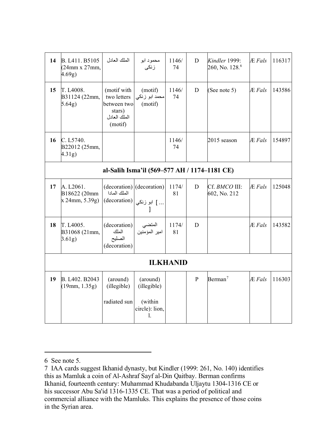| 14 | B. L411. B5105<br>(24mm x 27mm,<br>4.69g)   | الملك العادل                                                                   | محمود ابو<br>ز نکے ِ                                 | 1146/<br>74     | D              | Kindler 1999:<br>260, No. 128. <sup>6</sup> | <b>Æ</b> Fals | 116317 |
|----|---------------------------------------------|--------------------------------------------------------------------------------|------------------------------------------------------|-----------------|----------------|---------------------------------------------|---------------|--------|
| 15 | T. L4008.<br>B31124 (22mm,<br>5.64g)        | (motif with<br>two letters<br>between two<br>stars)<br>الملك العادل<br>(motif) | (motif)<br>محمد ابو زنکی<br>(motif)                  | 1146/<br>74     | D              | (See note 5)                                | Æ Fals        | 143586 |
| 16 | C. L5740.<br>B22012 (25mm,<br>4.31g)        |                                                                                |                                                      | 1146/<br>74     |                | 2015 season                                 | <b>Æ</b> Fals | 154897 |
|    |                                             |                                                                                | al-Salih Isma'il (569–577 AH / 1174–1181 CE)         |                 |                |                                             |               |        |
| 17 | A. L2061.<br>B18622 (20mm<br>x 24mm, 5.39g) | الملك المادا<br>(decoration)                                                   | (decoration) (decoration)<br>] ابو زنکی              | 1174/<br>81     | D              | Cf. BMCO III:<br>602, No. 212               | Æ Fals        | 125048 |
| 18 | T. L4005.<br>B31068 (21mm,<br>3.61g)        | (decoration)<br>الملك<br>الصليح<br>(decoration)                                | المتضي<br>امير المؤمنين                              | 1174/<br>81     | D              |                                             | <b>Æ</b> Fals | 143582 |
|    |                                             |                                                                                |                                                      | <b>ILKHANID</b> |                |                                             |               |        |
| 19 | B. L402. B2043<br>(19mm, 1.35g)             | (around)<br>(illegible)<br>radiated sun                                        | (around)<br>(illegible)<br>(within<br>circle): lion, |                 | $\overline{P}$ | Berman <sup>7</sup>                         | <b>Æ</b> Fals | 116303 |
|    |                                             |                                                                                | 1.                                                   |                 |                |                                             |               |        |

<sup>6</sup> See note 5.

<sup>7</sup> IAA cards suggest Ikhanid dynasty, but Kindler (1999: 261, No. 140) identifies this as Mamluk a coin of Al-Ashraf Sayf al-Din Qaitbay. Berman confirms Ikhanid, fourteenth century: Muhammad Khudabanda Uljaytu 1304-1316 CE or his successor Abu Sa'id 1316-1335 CE. That was a period of political and commercial alliance with the Mamluks. This explains the presence of those coins in the Syrian area.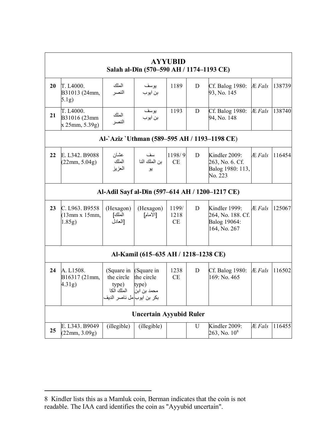|    |                                                  |                                                                              | Salah al-Dīn (570–590 AH / 1174–1193 CE)         | <b>AYYUBID</b>             |   |                                                                    |               |        |
|----|--------------------------------------------------|------------------------------------------------------------------------------|--------------------------------------------------|----------------------------|---|--------------------------------------------------------------------|---------------|--------|
| 20 | T. L4000.<br>B31013 (24mm,<br>5.1g)              | الملك<br>النصر                                                               | بو سف<br>بن ايوب                                 | 1189                       | D | Cf. Balog 1980:<br>93, No. 145                                     | $E$ Fals      | 138739 |
| 21 | T. L4000.<br>B31016 (23mm<br>x 25mm, 5.39g)      | الملك<br>النصر                                                               | بو سف<br>بن ايوب                                 | 1193                       | D | Cf. Balog 1980:<br>94, No. 148                                     | Æ Fals        | 138740 |
|    |                                                  |                                                                              |                                                  |                            |   | Al-`Aziz `Uthman (589–595 AH / 1193–1198 CE)                       |               |        |
| 22 | E. L342. B9088<br>(22mm, 5.04g)                  | عشان<br>الملك<br>العزيز                                                      | سف<br>بن الملك النا<br>يو                        | 1198/9<br>CE               | D | Kindler 2009:<br>263, No. 6. Cf.<br>Balog 1980: 113,<br>No. 223    | Æ Fals        | 116454 |
|    |                                                  |                                                                              |                                                  |                            |   | Al-Adil Sayf al-Dīn (597-614 AH / 1200-1217 CE)                    |               |        |
| 23 | C. L963. B9558<br>$(13mm \times 15mm)$<br>1.85g) | (Hexagon)<br>الملك]<br>اللعادل                                               | (Hexagon)<br>[الأمام]                            | 1199/<br>1218<br><b>CE</b> | D | Kindler 1999:<br>264, No. 188. Cf.<br>Balog 19064:<br>164, No. 267 | <b>Æ</b> Fals | 125067 |
|    |                                                  |                                                                              | Al-Kamil (615-635 AH / 1218-1238 CE)             |                            |   |                                                                    |               |        |
| 24 | A. L1508.<br>B16317 (21mm,<br>4.31g)             | (Square in<br>the circle<br>type)<br>الملك الكا<br>بكر بن ايوب مل ناصر الديف | (Square in<br>the circle<br>type)<br>محمد بن ابن | 1238<br>CE                 | D | Cf. Balog 1980:<br>169: No. 465                                    | Æ Fals        | 116502 |
|    |                                                  |                                                                              | <b>Uncertain Ayyubid Ruler</b>                   |                            |   |                                                                    |               |        |
| 25 | E. L343. B9049<br>(22mm, 3.09g)                  | (illegible)                                                                  | (illegible)                                      |                            | U | Kindler 2009:<br>$263$ , No. $10^8$                                | <b>Æ</b> Fals | 116455 |

<sup>8</sup> Kindler lists this as a Mamluk coin, Berman indicates that the coin is not readable. The IAA card identifies the coin as "Ayyubid uncertain".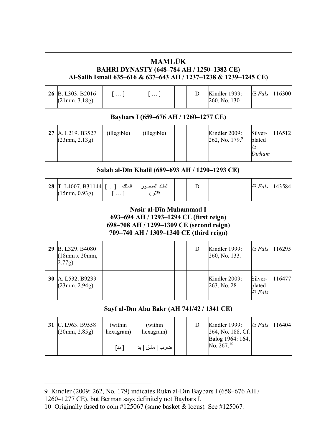|    |                                                                                                                                                           |                               | <b>MAMLŪK</b><br><b>BAHRI DYNASTY (648-784 AH / 1250-1382 CE)</b> |  |   | Al-Salih Ismail 635-616 & 637-643 AH / 1237-1238 & 1239-1245 CE)          |                                  |        |  |  |  |  |
|----|-----------------------------------------------------------------------------------------------------------------------------------------------------------|-------------------------------|-------------------------------------------------------------------|--|---|---------------------------------------------------------------------------|----------------------------------|--------|--|--|--|--|
|    | 26 B. L303. B2016<br>(21mm, 3.18g)                                                                                                                        | []                            | $[\dots]$                                                         |  | D | Kindler 1999:<br>260, No. 130                                             | Æ Fals                           | 116300 |  |  |  |  |
|    |                                                                                                                                                           |                               | Baybars I (659–676 AH / 1260–1277 CE)                             |  |   |                                                                           |                                  |        |  |  |  |  |
|    | 27 A. L219. B3527<br>(23mm, 2.13g)                                                                                                                        | (illegible)                   | (illegible)                                                       |  |   | Kindler 2009:<br>262, No. 179. $9$                                        | Silver-<br>plated<br>Æ<br>Dirham | 116512 |  |  |  |  |
|    | Salah al-Dīn Khalil (689-693 AH / 1290-1293 CE)                                                                                                           |                               |                                                                   |  |   |                                                                           |                                  |        |  |  |  |  |
| 28 | T. L4007. B31144<br>$(15$ mm, $0.93g)$                                                                                                                    | الملك [  ]<br>$[\dots]$       | الملك المنصور<br>قلاون                                            |  | D |                                                                           | Æ Fals                           | 143584 |  |  |  |  |
|    | Nasir al-Dīn Muhammad I<br>693–694 AH / 1293–1294 CE (first reign)<br>698–708 AH / 1299–1309 CE (second reign)<br>709-740 AH / 1309-1340 CE (third reign) |                               |                                                                   |  |   |                                                                           |                                  |        |  |  |  |  |
| 29 | B. L329. B4080<br>$(18$ mm x $20$ mm,<br>(2.77g)                                                                                                          |                               |                                                                   |  | D | Kindler 1999:<br>260, No. 133.                                            | Æ Fals                           | 116295 |  |  |  |  |
|    | 30 A. L532. B9239<br>(23mm, 2.94g)                                                                                                                        |                               |                                                                   |  |   | Kindler 2009:<br>263, No. 28                                              | Silver-<br>plated<br>Æ Fals      | 116477 |  |  |  |  |
|    |                                                                                                                                                           |                               | Sayf al-Dīn Abu Bakr (AH 741/42 / 1341 CE)                        |  |   |                                                                           |                                  |        |  |  |  |  |
| 31 | C. L963. B9558<br>(20mm, 2.85g)                                                                                                                           | (within<br>hexagram)<br>[امد] | (within<br>hexagram)<br>ضرب   مشق   بد                            |  | D | Kindler 1999:<br>264, No. 188. Cf.<br>Balog 1964: 164,<br>No. $267.^{10}$ | Æ Fals                           | 116404 |  |  |  |  |

1260–1277 CE), but Berman says definitely not Baybars I.

<sup>9</sup> Kindler (2009: 262, No. 179) indicates Rukn al-Din Baybars I (658–676 AH /

<sup>10</sup> Originally fused to coin #125067 (same basket & locus)*.* See #125067*.*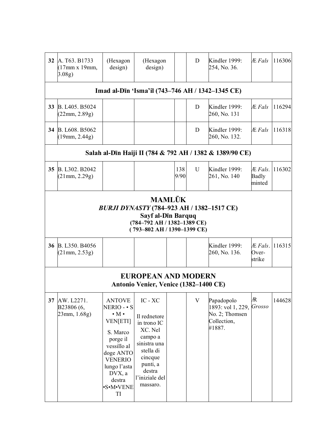|    | (17 <sub>mm</sub> x 19 <sub>mm</sub> )<br>3.08g)                                                                                                                                                                                                                                                                                                                                                                                                                                                                                                                                                                                                                                                                                                                                                                                                                                                                   | (Hexagon<br>design)                                                                                                                                               | design)                                                                                                                                       |  | D | Kindler 1999:<br>254, No. 36.           | Æ Fals | 116306 |  |  |  |  |
|----|--------------------------------------------------------------------------------------------------------------------------------------------------------------------------------------------------------------------------------------------------------------------------------------------------------------------------------------------------------------------------------------------------------------------------------------------------------------------------------------------------------------------------------------------------------------------------------------------------------------------------------------------------------------------------------------------------------------------------------------------------------------------------------------------------------------------------------------------------------------------------------------------------------------------|-------------------------------------------------------------------------------------------------------------------------------------------------------------------|-----------------------------------------------------------------------------------------------------------------------------------------------|--|---|-----------------------------------------|--------|--------|--|--|--|--|
|    | <b>32</b> A. T63, B1733<br>(Hexagon<br>Imad al-Dīn 'Isma'il (743-746 AH / 1342-1345 CE)<br>B. L405. B5024<br>D<br>Kindler 1999:<br>Æ Fals<br>(22mm, 2.89g)<br>260, No. 131<br>34 B. L608. B5062<br>Kindler 1999:<br>Æ Fals<br>D<br>(19mm, 2.44g)<br>260, No. 132.<br>Salah al-Dīn Haiji II (784 & 792 AH / 1382 & 1389/90 CE)<br>B. L302. B2042<br>U<br>Kindler 1999:<br>Æ Fals.<br>138<br>9/90<br>261, No. 140<br>(21mm, 2.29g)<br>Badly<br>minted<br><b>MAMLŪK</b><br>BURJI DYNASTY (784-923 AH / 1382-1517 CE)<br>Sayf al-Dīn Barquq<br>(784-792 AH / 1382-1389 CE)<br>(793-802 AH / 1390-1399 CE)<br>36 B. L350. B4056<br>Kindler 1999:<br>Æ Fals.<br>260, No. 136.<br>$Over-$<br>(21mm, 2.53g)<br>strike<br><b>EUROPEAN AND MODERN</b><br>Antonio Venier, Venice (1382-1400 CE)<br>Æ<br>IC - XC<br>AW. L2271.<br>V<br>Papadopolo<br><b>ANTOVE</b><br>Grosso<br>1893: vol 1, 229,<br>B23806 (6,<br>NERIO - • S |                                                                                                                                                                   |                                                                                                                                               |  |   |                                         |        |        |  |  |  |  |
| 33 |                                                                                                                                                                                                                                                                                                                                                                                                                                                                                                                                                                                                                                                                                                                                                                                                                                                                                                                    |                                                                                                                                                                   |                                                                                                                                               |  |   |                                         |        | 116294 |  |  |  |  |
|    |                                                                                                                                                                                                                                                                                                                                                                                                                                                                                                                                                                                                                                                                                                                                                                                                                                                                                                                    |                                                                                                                                                                   |                                                                                                                                               |  |   |                                         |        | 116318 |  |  |  |  |
|    |                                                                                                                                                                                                                                                                                                                                                                                                                                                                                                                                                                                                                                                                                                                                                                                                                                                                                                                    |                                                                                                                                                                   |                                                                                                                                               |  |   |                                         |        |        |  |  |  |  |
| 35 |                                                                                                                                                                                                                                                                                                                                                                                                                                                                                                                                                                                                                                                                                                                                                                                                                                                                                                                    |                                                                                                                                                                   |                                                                                                                                               |  |   |                                         |        | 116302 |  |  |  |  |
|    |                                                                                                                                                                                                                                                                                                                                                                                                                                                                                                                                                                                                                                                                                                                                                                                                                                                                                                                    |                                                                                                                                                                   |                                                                                                                                               |  |   |                                         |        |        |  |  |  |  |
|    |                                                                                                                                                                                                                                                                                                                                                                                                                                                                                                                                                                                                                                                                                                                                                                                                                                                                                                                    |                                                                                                                                                                   |                                                                                                                                               |  |   |                                         |        | 116315 |  |  |  |  |
|    |                                                                                                                                                                                                                                                                                                                                                                                                                                                                                                                                                                                                                                                                                                                                                                                                                                                                                                                    |                                                                                                                                                                   |                                                                                                                                               |  |   |                                         |        |        |  |  |  |  |
| 37 | 23mm, 1.68g)                                                                                                                                                                                                                                                                                                                                                                                                                                                                                                                                                                                                                                                                                                                                                                                                                                                                                                       | $\cdot$ M $\cdot$<br><b>VEN[ETI]</b><br>S. Marco<br>porge il<br>vessillo al<br>doge ANTO<br><b>VENERIO</b><br>lungo l'asta<br>DVX, a<br>destra<br>•S•M•VENE<br>TI | Il rednetore<br>in trono IC<br>XC. Nel<br>campo a<br>sinistra una<br>stella di<br>cincque<br>punti, a<br>destra<br>l'iniziale del<br>massaro. |  |   | No. 2; Thomsen<br>Collection,<br>#1887. |        | 144628 |  |  |  |  |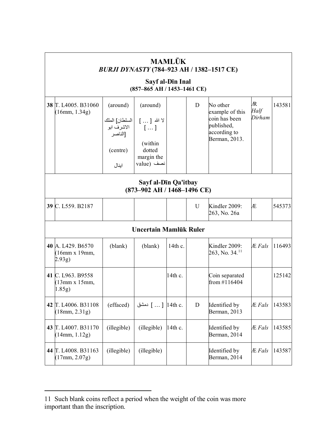|                                                      |                                                                         | BURJI DYNASTY (784-923 AH / 1382-1517 CE)<br>Sayf al-Dīn Inal                                       | <b>MAMLŪK</b> |   |                                                                                             |                     |        |  |  |  |  |
|------------------------------------------------------|-------------------------------------------------------------------------|-----------------------------------------------------------------------------------------------------|---------------|---|---------------------------------------------------------------------------------------------|---------------------|--------|--|--|--|--|
|                                                      |                                                                         | (857-865 AH / 1453-1461 CE)                                                                         |               |   |                                                                                             |                     |        |  |  |  |  |
| 38 T. L4005. B31060<br>(16mm, 1.34g)                 | (around)<br>السلطان] الملك<br>الاشرف ابو<br>الناصر<br>(centre)<br>اينال | (around)<br>لا الله [ … ]<br>$\left[\ldots\right]$<br>(within<br>dotted<br>margin the<br>value) نصف |               | D | No other<br>example of this<br>coin has been<br>published,<br>according to<br>Berman, 2013. | Æ<br>Half<br>Dirham | 143581 |  |  |  |  |
| Sayf al-Dīn Qa'itbay<br>(873-902 AH / 1468-1496 CE)  |                                                                         |                                                                                                     |               |   |                                                                                             |                     |        |  |  |  |  |
| 39 C. L559. B2187                                    |                                                                         |                                                                                                     |               | U | Kindler 2009:<br>263, No. 26a                                                               | Æ                   | 545373 |  |  |  |  |
|                                                      |                                                                         | Uncertain Mamlūk Ruler                                                                              |               |   |                                                                                             |                     |        |  |  |  |  |
| 40 A. L429. B6570<br>$(16mm \times 19mm,$<br>(2.93g) | (blank)                                                                 | (blank)                                                                                             | 14th c.       |   | Kindler 2009:<br>263, No. 34. <sup>11</sup>                                                 | Æ Fals              | 116493 |  |  |  |  |
| 41 C. L963. B9558<br>(13mm x 15mm,<br>1.85g)         |                                                                         |                                                                                                     | $14$ th c.    |   | Coin separated<br>from #116404                                                              |                     | 125142 |  |  |  |  |
| 42 T. L4006. B31108<br>(18mm, 2.31g)                 | (effaced)                                                               | .l4th c. ] دمشق                                                                                     |               | D | Identified by<br>Berman, 2013                                                               | Æ Fals              | 143583 |  |  |  |  |
| 43 T. L4007. B31170<br>(14mm, 1.12g)                 | (illegible)                                                             | (illegible)                                                                                         | 14th c.       |   | Identified by<br>Berman, 2014                                                               | Æ Fals              | 143585 |  |  |  |  |
| 44 T. L4008. B31163<br>(17mm, 2.07g)                 | (illegible)                                                             | (illegible)                                                                                         |               |   | Identified by<br>Berman, 2014                                                               | Æ Fals              | 143587 |  |  |  |  |

<sup>11</sup> Such blank coins reflect a period when the weight of the coin was more important than the inscription.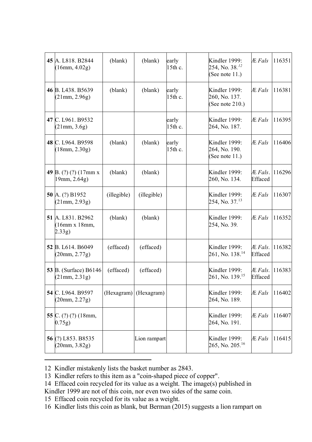| 45 A. L818. B2844<br>(16mm, 4.02g)                          | (blank)     | (blank)      | early<br>15th c. | Kindler 1999:<br>254, No. 38. <sup>12</sup><br>(See note $11.$ ) | <b>Æ</b> Fals      | 116351 |
|-------------------------------------------------------------|-------------|--------------|------------------|------------------------------------------------------------------|--------------------|--------|
| 46 B. L <sub>438</sub> . B <sub>5639</sub><br>(21mm, 2.96g) | (blank)     | (blank)      | early<br>15th c. | Kindler 1999:<br>260, No. 137.<br>(See note $210.$ )             | Æ Fals             | 116381 |
| 47 C. L961. B9532<br>(21mm, 3.6g)                           |             |              | early<br>15th c. | Kindler 1999:<br>264, No. 187.                                   | Æ Fals             | 116395 |
| 48 C. L964. B9598<br>(18mm, 2.30g)                          | (blank)     | (blank)      | early<br>15th c. | Kindler 1999:<br>264, No. 190.<br>(See note $11.$ )              | <b>Æ</b> Fals      | 116406 |
| 49 B. $(?) (?) (17mm x)$<br>19mm, 2.64g)                    | (blank)     | (blank)      |                  | Kindler 1999:<br>260, No. 134.                                   | Æ Fals.<br>Effaced | 116296 |
| 50 A. (?) B1952<br>(21mm, 2.93g)                            | (illegible) | (illegible)  |                  | Kindler 1999:<br>254, No. 37. $13$                               | Æ Fals             | 116307 |
| 51 A. L831. B2962<br>$(16mm \times 18mm,$<br>(2.33g)        | (blank)     | (blank)      |                  | Kindler 1999:<br>254, No. 39.                                    | Æ Fals             | 116352 |
| 52 B. L614. B6049<br>(20mm, 2.77g)                          | (effaced)   | (effaced)    |                  | Kindler 1999:<br>261, No. 138. <sup>14</sup>                     | Æ Fals.<br>Effaced | 116382 |
| 53 B. (Surface) B6146<br>(21mm, 2.31g)                      | (effaced)   | (effaced)    |                  | Kindler 1999:<br>261, No. 139. <sup>15</sup>                     | Æ Fals.<br>Effaced | 116383 |
| 54 C. L964. B9597<br>(20mm, 2.27g)                          | (Hexagram)  | (Hexagram)   |                  | Kindler 1999:<br>264, No. 189.                                   | <b>Æ</b> Fals      | 116402 |
| 55 C. $(?)$ $(?)$ $(18$ mm,<br>0.75g)                       |             |              |                  | Kindler 1999:<br>264, No. 191.                                   | Æ Fals             | 116407 |
| 56 (?) L853. B8535<br>(20mm, 3.82g)                         |             | Lion rampart |                  | Kindler 1999:<br>265, No. 205. <sup>16</sup>                     | <b>Æ</b> Fals      | 116415 |

12 Kindler mistakenly lists the basket number as 2843.

15 Effaced coin recycled for its value as a weight.

 $\overline{a}$ 

16 Kindler lists this coin as blank, but Berman (2015) suggests a lion rampart on

<sup>13</sup> Kindler refers to this item as a "coin-shaped piece of copper".

<sup>14</sup> Effaced coin recycled for its value as a weight. The image(s) published in Kindler 1999 are not of this coin, nor even two sides of the same coin.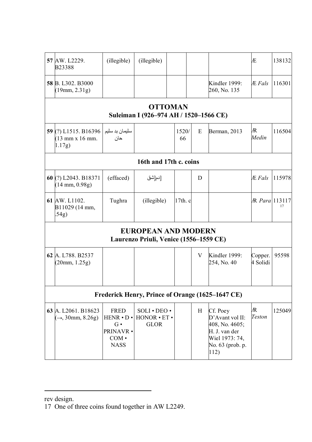| 57 AW. L2229.<br>B23388                                   | (illegible)                                                                                         | (illegible)                                                          |  |             |   |                                                                                                              | Æ                   | 138132 |  |  |  |  |
|-----------------------------------------------------------|-----------------------------------------------------------------------------------------------------|----------------------------------------------------------------------|--|-------------|---|--------------------------------------------------------------------------------------------------------------|---------------------|--------|--|--|--|--|
| 58 B. L302. B3000<br>(19mm, 2.31g)                        |                                                                                                     |                                                                      |  |             |   | Kindler 1999:<br>260, No. 135                                                                                | Æ Fals              | 116301 |  |  |  |  |
| <b>OTTOMAN</b><br>Suleiman I (926-974 AH / 1520-1566 CE)  |                                                                                                     |                                                                      |  |             |   |                                                                                                              |                     |        |  |  |  |  |
| 59 (?) L1515. B16396<br>$(13$ mm x 16 mm.<br>1.17g)       | سلیمان بد سلیم<br>حان                                                                               |                                                                      |  | 1520/<br>66 | E | Berman, 2013                                                                                                 | Æ<br>Medin          | 116504 |  |  |  |  |
| 16th and 17th c. coins                                    |                                                                                                     |                                                                      |  |             |   |                                                                                                              |                     |        |  |  |  |  |
| 60 (?) L2043. B18371<br>$(14 \text{ mm}, 0.98 \text{ g})$ | (effaced)                                                                                           | [دم[شق                                                               |  |             | D |                                                                                                              | Æ Fals              | 115978 |  |  |  |  |
| 61 AW. L1102.<br>B11029 (14 mm,<br>.54g)                  | Tughra                                                                                              | (illegible)                                                          |  | $17th$ . c  |   |                                                                                                              | R Para 113117       | 17     |  |  |  |  |
|                                                           |                                                                                                     | <b>EUROPEAN AND MODERN</b><br>Laurenzo Priuli, Venice (1556–1559 CE) |  |             |   |                                                                                                              |                     |        |  |  |  |  |
| 62 A. L788, B2537<br>(20mm, 1.25g)                        |                                                                                                     |                                                                      |  |             | V | Kindler 1999:<br>254, No. 40                                                                                 | Copper.<br>4 Solidi | 95598  |  |  |  |  |
|                                                           |                                                                                                     |                                                                      |  |             |   | Frederick Henry, Prince of Orange (1625–1647 CE)                                                             |                     |        |  |  |  |  |
| 63 A. L2061. B18623<br>$(\rightarrow, 30$ mm, 8.26g)      | <b>FRED</b><br>$HENR \cdot D \cdot$<br>$G\bullet$<br><b>PRINAVR •</b><br>$COM \cdot$<br><b>NASS</b> | SOLI · DEO ·<br>$HONOR \cdot ET$<br>GLOR                             |  |             | H | Cf. Poey<br>D'Avant vol II:<br>408, No. 4605;<br>H. J. van der<br>Wiel 1973: 74,<br>No. 63 (prob. p.<br>112) | Æ<br>Teston         | 125049 |  |  |  |  |

rev design.

<sup>17</sup> One of three coins found together in AW L2249.